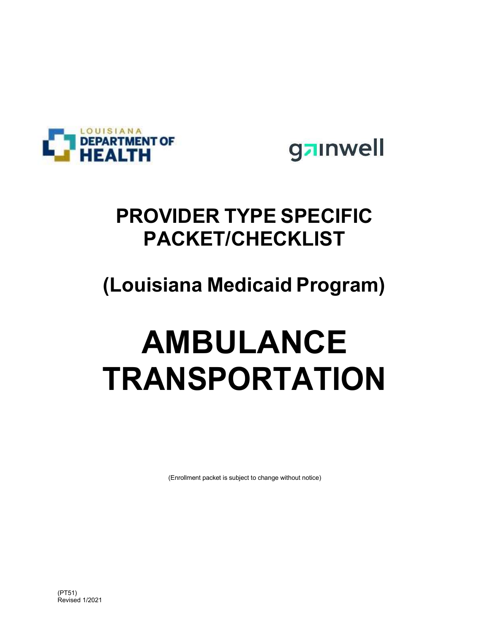

gainwell

# PROVIDER TYPE SPECIFIC PACKET/CHECKLIST

# (Louisiana Medicaid Program)

# AMBULANCE TRANSPORTATION

(Enrollment packet is subject to change without notice)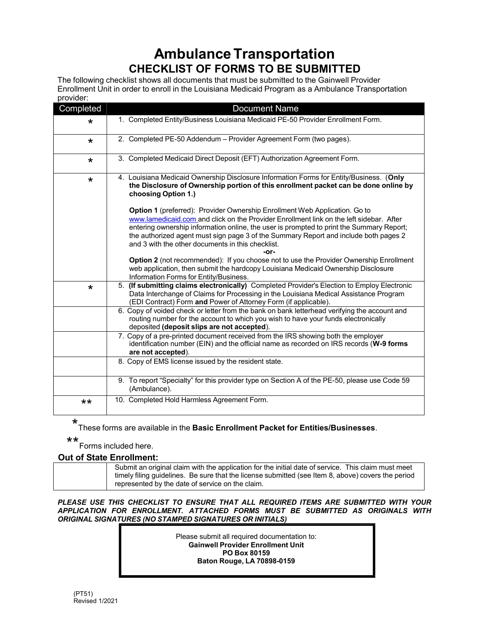## Ambulance Transportation CHECKLIST OF FORMS TO BE SUBMITTED

The following checklist shows all documents that must be submitted to the Gainwell Provider Enrollment Unit in order to enroll in the Louisiana Medicaid Program as a Ambulance Transportation provider:

| Completed | <b>Document Name</b>                                                                                                                                                                                                                                                                                                                                                                                                   |
|-----------|------------------------------------------------------------------------------------------------------------------------------------------------------------------------------------------------------------------------------------------------------------------------------------------------------------------------------------------------------------------------------------------------------------------------|
| *         | 1. Completed Entity/Business Louisiana Medicaid PE-50 Provider Enrollment Form.                                                                                                                                                                                                                                                                                                                                        |
| $\star$   | 2. Completed PE-50 Addendum - Provider Agreement Form (two pages).                                                                                                                                                                                                                                                                                                                                                     |
| $\star$   | 3. Completed Medicaid Direct Deposit (EFT) Authorization Agreement Form.                                                                                                                                                                                                                                                                                                                                               |
| $\star$   | 4. Louisiana Medicaid Ownership Disclosure Information Forms for Entity/Business. (Only<br>the Disclosure of Ownership portion of this enrollment packet can be done online by<br>choosing Option 1.)                                                                                                                                                                                                                  |
|           | Option 1 (preferred): Provider Ownership Enrollment Web Application. Go to<br>www.lamedicaid.com and click on the Provider Enrollment link on the left sidebar. After<br>entering ownership information online, the user is prompted to print the Summary Report;<br>the authorized agent must sign page 3 of the Summary Report and include both pages 2<br>and 3 with the other documents in this checklist.<br>-or- |
|           | Option 2 (not recommended): If you choose not to use the Provider Ownership Enrollment<br>web application, then submit the hardcopy Louisiana Medicaid Ownership Disclosure<br>Information Forms for Entity/Business.                                                                                                                                                                                                  |
| $\star$   | 5. (If submitting claims electronically) Completed Provider's Election to Employ Electronic<br>Data Interchange of Claims for Processing in the Louisiana Medical Assistance Program<br>(EDI Contract) Form and Power of Attorney Form (if applicable).                                                                                                                                                                |
|           | 6. Copy of voided check or letter from the bank on bank letterhead verifying the account and<br>routing number for the account to which you wish to have your funds electronically<br>deposited (deposit slips are not accepted).                                                                                                                                                                                      |
|           | 7. Copy of a pre-printed document received from the IRS showing both the employer<br>identification number (EIN) and the official name as recorded on IRS records (W-9 forms<br>are not accepted).                                                                                                                                                                                                                     |
|           | 8. Copy of EMS license issued by the resident state.                                                                                                                                                                                                                                                                                                                                                                   |
|           | 9. To report "Specialty" for this provider type on Section A of the PE-50, please use Code 59<br>(Ambulance).                                                                                                                                                                                                                                                                                                          |
| $**$      | 10. Completed Hold Harmless Agreement Form.                                                                                                                                                                                                                                                                                                                                                                            |

\* These forms are available in the Basic Enrollment Packet for Entities/Businesses.

\*\* Forms included here.

### Out of State Enrollment:

Submit an original claim with the application for the initial date of service. This claim must meet timely filing guidelines. Be sure that the license submitted (see Item 8, above) covers the period represented by the date of service on the claim.

#### PLEASE USE THIS CHECKLIST TO ENSURE THAT ALL REQUIRED ITEMS ARE SUBMITTED WITH YOUR APPLICATION FOR ENROLLMENT. ATTACHED FORMS MUST BE SUBMITTED AS ORIGINALS WITH ORIGINAL SIGNATURES (NO STAMPED SIGNATURES OR INITIALS)

Please submit all required documentation to: Gainwell Provider Enrollment Unit PO Box 80159 Baton Rouge, LA 70898-0159